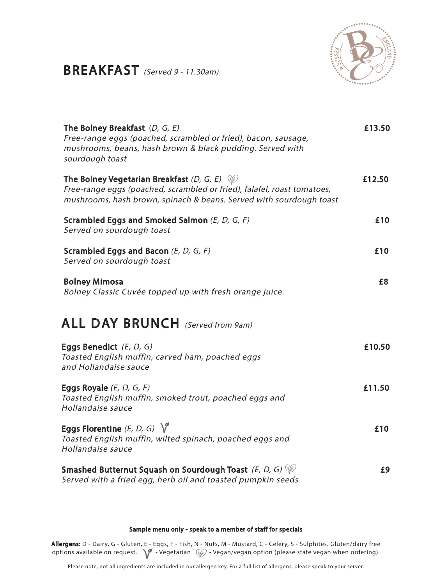### BREAKFAST (Served 9 - 11.30am)



| The Bolney Breakfast $(D, G, E)$<br>Free-range eggs (poached, scrambled or fried), bacon, sausage,<br>mushrooms, beans, hash brown & black pudding. Served with<br>sourdough toast                        | £13.50 |
|-----------------------------------------------------------------------------------------------------------------------------------------------------------------------------------------------------------|--------|
| The Bolney Vegetarian Breakfast (D, G, E) $\mathcal{P}$<br>Free-range eggs (poached, scrambled or fried), falafel, roast tomatoes,<br>mushrooms, hash brown, spinach & beans. Served with sourdough toast | £12.50 |
| Scrambled Eggs and Smoked Salmon (E, D, G, F)<br>Served on sourdough toast                                                                                                                                | £10    |
| Scrambled Eggs and Bacon $(E, D, G, F)$<br>Served on sourdough toast                                                                                                                                      | £10    |
| <b>Bolney Mimosa</b><br>Bolney Classic Cuvée topped up with fresh orange juice.                                                                                                                           | £8     |
| <b>ALL DAY BRUNCH</b> (Served from 9am)                                                                                                                                                                   |        |
| Eggs Benedict $(E, D, G)$<br>Toasted English muffin, carved ham, poached eggs<br>and Hollandaise sauce                                                                                                    | £10.50 |
| Eggs Royale $(E, D, G, F)$<br>Toasted English muffin, smoked trout, poached eggs and<br>Hollandaise sauce                                                                                                 | £11.50 |
| Eggs Florentine (E, D, G) $\sqrt{\ }$<br>Toasted English muffin, wilted spinach, poached eggs and<br>Hollandaise sauce                                                                                    | £10    |
| Smashed Butternut Squash on Sourdough Toast (E, D, G) $\psi$<br>Served with a fried egg, herb oil and toasted pumpkin seeds                                                                               | £9     |

#### Sample menu only - speak to a member of staff for specials

Allergens: D - Dairy, G - Gluten, E - Eggs, F - Fish, N - Nuts, M - Mustard, C - Celery, S - Sulphites. Gluten/dairy free options available on request.  $\sqrt{ }$  - Vegetarian  $\mathcal{C}$  - Vegan/vegan option (please state vegan when ordering).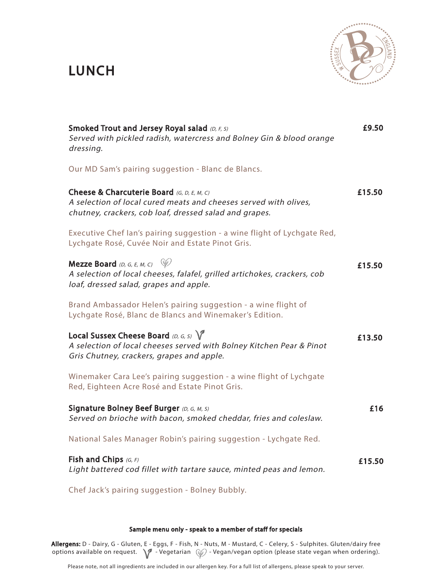## LUNCH



| Smoked Trout and Jersey Royal salad (D, F, S)<br>Served with pickled radish, watercress and Bolney Gin & blood orange<br>dressing.                                       | £9.50  |
|--------------------------------------------------------------------------------------------------------------------------------------------------------------------------|--------|
| Our MD Sam's pairing suggestion - Blanc de Blancs.                                                                                                                       |        |
| Cheese & Charcuterie Board (G, D, E, M, C)<br>A selection of local cured meats and cheeses served with olives,<br>chutney, crackers, cob loaf, dressed salad and grapes. | £15.50 |
| Executive Chef lan's pairing suggestion - a wine flight of Lychgate Red,<br>Lychgate Rosé, Cuvée Noir and Estate Pinot Gris.                                             |        |
| <b>Mezze Board</b> (D, G, E, M, C) $\mathcal{L}$<br>A selection of local cheeses, falafel, grilled artichokes, crackers, cob<br>loaf, dressed salad, grapes and apple.   | £15.50 |
| Brand Ambassador Helen's pairing suggestion - a wine flight of<br>Lychgate Rosé, Blanc de Blancs and Winemaker's Edition.                                                |        |
| Local Sussex Cheese Board (D, G, S) $\sqrt{\ }$<br>A selection of local cheeses served with Bolney Kitchen Pear & Pinot<br>Gris Chutney, crackers, grapes and apple.     | £13.50 |
| Winemaker Cara Lee's pairing suggestion - a wine flight of Lychgate<br>Red, Eighteen Acre Rosé and Estate Pinot Gris.                                                    |        |
| Signature Bolney Beef Burger (D, G, M, S)<br>Served on brioche with bacon, smoked cheddar, fries and coleslaw.                                                           | £16    |
| National Sales Manager Robin's pairing suggestion - Lychgate Red.                                                                                                        |        |
| Fish and Chips $(G, F)$<br>Light battered cod fillet with tartare sauce, minted peas and lemon.                                                                          | £15.50 |
| Chef Jack's pairing suggestion - Bolney Bubbly.                                                                                                                          |        |

#### Sample menu only - speak to a member of staff for specials

**Allergens:** D - Dairy, G - Gluten, E - Eggs, F - Fish, N - Nuts, M - Mustard, C - Celery, S - Sulphites. Gluten/dairy free options available on request.  $\setminus\hspace{-0.15cm}\mathscr{P}$  - Vegetarian  $\mathscr{C}\mathscr{P}$  - Vegan/vegan option (please state vegan when ordering).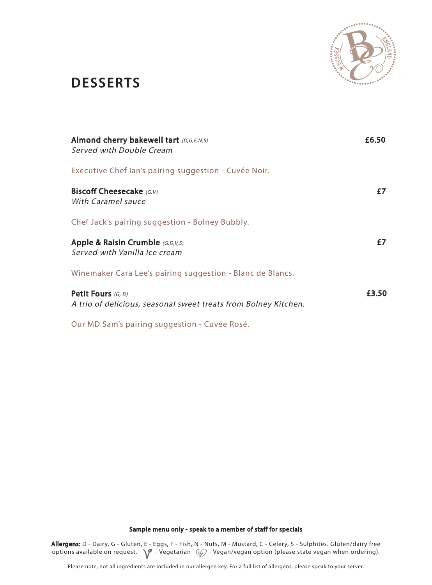

## **DESSERTS**

| <b>Almond cherry bakewell tart</b> (D,G,E,N,S)<br>Served with Double Cream            | £6.50 |
|---------------------------------------------------------------------------------------|-------|
| Executive Chef lan's pairing suggestion - Cuvée Noir.                                 |       |
| <b>Biscoff Cheesecake</b> (G.V)<br>With Caramel sauce                                 | f7    |
| Chef Jack's pairing suggestion - Bolney Bubbly.                                       |       |
| <b>Apple &amp; Raisin Crumble</b> (G,D,V,S)<br>Served with Vanilla Ice cream          | £7    |
| Winemaker Cara Lee's pairing suggestion - Blanc de Blancs.                            |       |
| Petit Fours (G, D)<br>A trio of delicious, seasonal sweet treats from Bolney Kitchen. | £3.50 |

Our MD Sam's pairing suggestion - Cuvée Rosé.

Sample menu only - speak to a member of staff for specials

Allergens: D - Dairy, G - Gluten, E - Eggs, F - Fish, N - Nuts, M - Mustard, C - Celery, S - Sulphites. Gluten/dairy free options available on request.  $\sqrt{ }$  - Vegetarian  $\mathcal{C}$  - Vegan/vegan option (please state vegan when ordering).